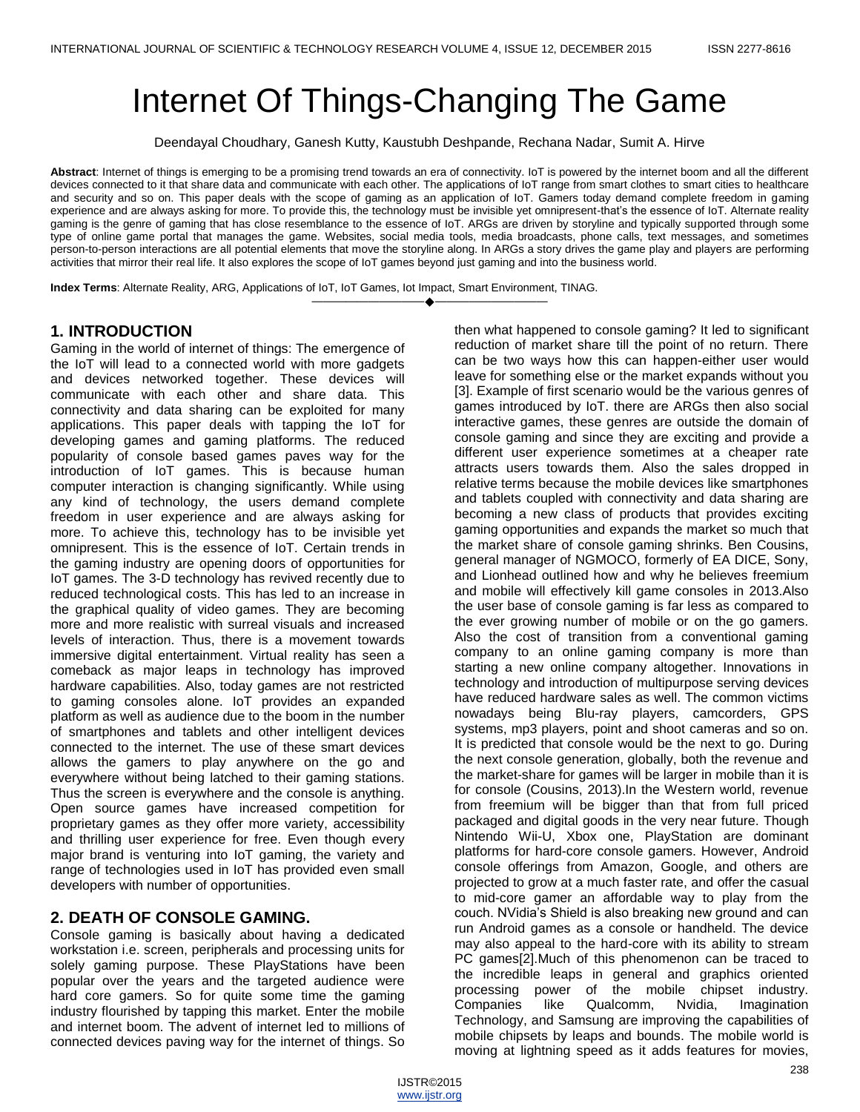# Internet Of Things-Changing The Game

Deendayal Choudhary, Ganesh Kutty, Kaustubh Deshpande, Rechana Nadar, Sumit A. Hirve

**Abstract**: Internet of things is emerging to be a promising trend towards an era of connectivity. IoT is powered by the internet boom and all the different devices connected to it that share data and communicate with each other. The applications of IoT range from smart clothes to smart cities to healthcare and security and so on. This paper deals with the scope of gaming as an application of IoT. Gamers today demand complete freedom in gaming experience and are always asking for more. To provide this, the technology must be invisible yet omnipresent-that's the essence of IoT. Alternate reality gaming is the genre of gaming that has close resemblance to the essence of IoT. ARGs are driven by storyline and typically supported through some type of online game portal that manages the game. Websites, social media tools, media broadcasts, phone calls, text messages, and sometimes person-to-person interactions are all potential elements that move the storyline along. In ARGs a story drives the game play and players are performing activities that mirror their real life. It also explores the scope of IoT games beyond just gaming and into the business world.

————————————————————

**Index Terms**: Alternate Reality, ARG, Applications of IoT, IoT Games, Iot Impact, Smart Environment, TINAG.

#### **1. INTRODUCTION**

Gaming in the world of internet of things: The emergence of the IoT will lead to a connected world with more gadgets and devices networked together. These devices will communicate with each other and share data. This connectivity and data sharing can be exploited for many applications. This paper deals with tapping the IoT for developing games and gaming platforms. The reduced popularity of console based games paves way for the introduction of IoT games. This is because human computer interaction is changing significantly. While using any kind of technology, the users demand complete freedom in user experience and are always asking for more. To achieve this, technology has to be invisible yet omnipresent. This is the essence of IoT. Certain trends in the gaming industry are opening doors of opportunities for IoT games. The 3-D technology has revived recently due to reduced technological costs. This has led to an increase in the graphical quality of video games. They are becoming more and more realistic with surreal visuals and increased levels of interaction. Thus, there is a movement towards immersive digital entertainment. Virtual reality has seen a comeback as major leaps in technology has improved hardware capabilities. Also, today games are not restricted to gaming consoles alone. IoT provides an expanded platform as well as audience due to the boom in the number of smartphones and tablets and other intelligent devices connected to the internet. The use of these smart devices allows the gamers to play anywhere on the go and everywhere without being latched to their gaming stations. Thus the screen is everywhere and the console is anything. Open source games have increased competition for proprietary games as they offer more variety, accessibility and thrilling user experience for free. Even though every major brand is venturing into IoT gaming, the variety and range of technologies used in IoT has provided even small developers with number of opportunities.

## **2. DEATH OF CONSOLE GAMING.**

Console gaming is basically about having a dedicated workstation i.e. screen, peripherals and processing units for solely gaming purpose. These PlayStations have been popular over the years and the targeted audience were hard core gamers. So for quite some time the gaming industry flourished by tapping this market. Enter the mobile and internet boom. The advent of internet led to millions of connected devices paving way for the internet of things. So then what happened to console gaming? It led to significant reduction of market share till the point of no return. There can be two ways how this can happen-either user would leave for something else or the market expands without you [3]. Example of first scenario would be the various genres of games introduced by IoT. there are ARGs then also social interactive games, these genres are outside the domain of console gaming and since they are exciting and provide a different user experience sometimes at a cheaper rate attracts users towards them. Also the sales dropped in relative terms because the mobile devices like smartphones and tablets coupled with connectivity and data sharing are becoming a new class of products that provides exciting gaming opportunities and expands the market so much that the market share of console gaming shrinks. Ben Cousins, general manager of NGMOCO, formerly of EA DICE, Sony, and Lionhead outlined how and why he believes freemium and mobile will effectively kill game consoles in 2013.Also the user base of console gaming is far less as compared to the ever growing number of mobile or on the go gamers. Also the cost of transition from a conventional gaming company to an online gaming company is more than starting a new online company altogether. Innovations in technology and introduction of multipurpose serving devices have reduced hardware sales as well. The common victims nowadays being Blu-ray players, camcorders, GPS systems, mp3 players, point and shoot cameras and so on. It is predicted that console would be the next to go. During the next console generation, globally, both the revenue and the market-share for games will be larger in mobile than it is for console (Cousins, 2013).In the Western world, revenue from freemium will be bigger than that from full priced packaged and digital goods in the very near future. Though Nintendo Wii-U, Xbox one, PlayStation are dominant platforms for hard-core console gamers. However, Android console offerings from Amazon, Google, and others are projected to grow at a much faster rate, and offer the casual to mid-core gamer an affordable way to play from the couch. NVidia's Shield is also breaking new ground and can run Android games as a console or handheld. The device may also appeal to the hard-core with its ability to stream PC games[2].Much of this phenomenon can be traced to the incredible leaps in general and graphics oriented processing power of the mobile chipset industry. Companies like Qualcomm, Nvidia, Imagination Technology, and Samsung are improving the capabilities of mobile chipsets by leaps and bounds. The mobile world is moving at lightning speed as it adds features for movies,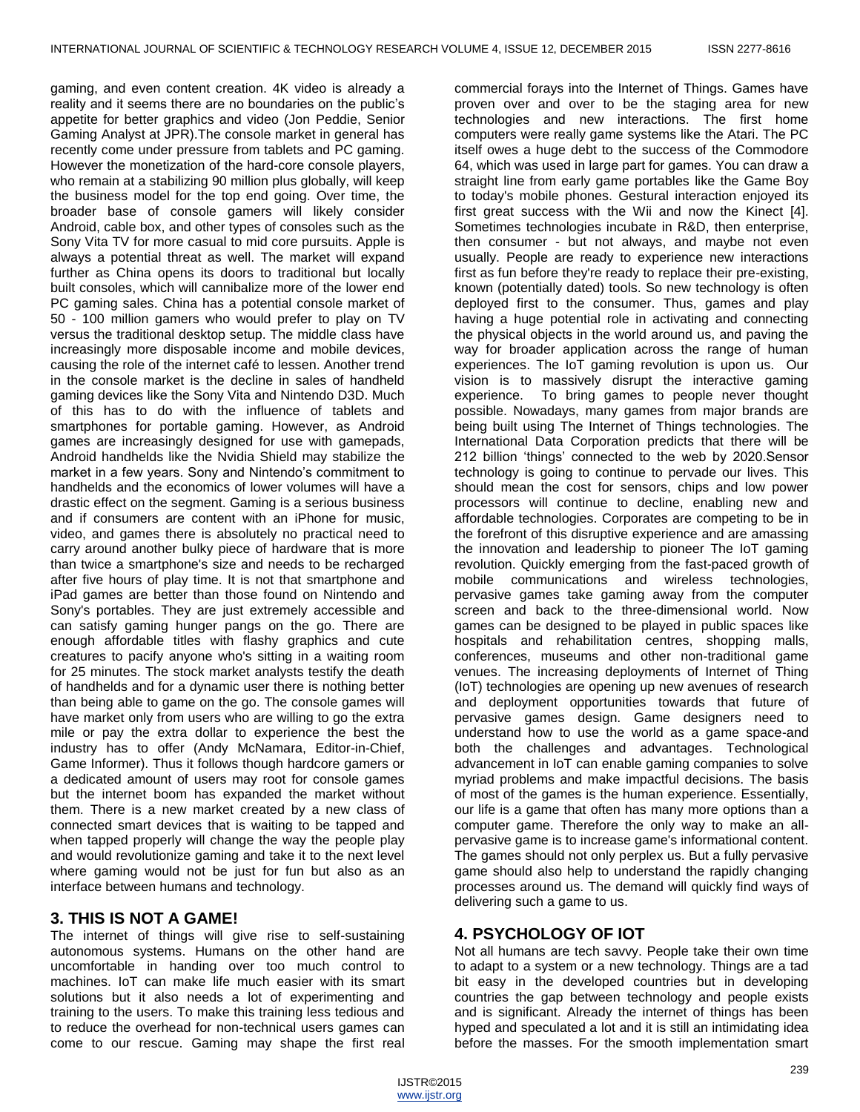gaming, and even content creation. 4K video is already a reality and it seems there are no boundaries on the public's appetite for better graphics and video (Jon Peddie, Senior Gaming Analyst at JPR).The console market in general has recently come under pressure from tablets and PC gaming. However the monetization of the hard-core console players, who remain at a stabilizing 90 million plus globally, will keep the business model for the top end going. Over time, the broader base of console gamers will likely consider Android, cable box, and other types of consoles such as the Sony Vita TV for more casual to mid core pursuits. Apple is always a potential threat as well. The market will expand further as China opens its doors to traditional but locally built consoles, which will cannibalize more of the lower end PC gaming sales. China has a potential console market of 50 - 100 million gamers who would prefer to play on TV versus the traditional desktop setup. The middle class have increasingly more disposable income and mobile devices, causing the role of the internet café to lessen. Another trend in the console market is the decline in sales of handheld gaming devices like the Sony Vita and Nintendo D3D. Much of this has to do with the influence of tablets and smartphones for portable gaming. However, as Android games are increasingly designed for use with gamepads, Android handhelds like the Nvidia Shield may stabilize the market in a few years. Sony and Nintendo's commitment to handhelds and the economics of lower volumes will have a drastic effect on the segment. Gaming is a serious business and if consumers are content with an iPhone for music, video, and games there is absolutely no practical need to carry around another bulky piece of hardware that is more than twice a smartphone's size and needs to be recharged after five hours of play time. It is not that smartphone and iPad games are better than those found on Nintendo and Sony's portables. They are just extremely accessible and can satisfy gaming hunger pangs on the go. There are enough affordable titles with flashy graphics and cute creatures to pacify anyone who's sitting in a waiting room for 25 minutes. The stock market analysts testify the death of handhelds and for a dynamic user there is nothing better than being able to game on the go. The console games will have market only from users who are willing to go the extra mile or pay the extra dollar to experience the best the industry has to offer (Andy McNamara, Editor-in-Chief, Game Informer). Thus it follows though hardcore gamers or a dedicated amount of users may root for console games but the internet boom has expanded the market without them. There is a new market created by a new class of connected smart devices that is waiting to be tapped and when tapped properly will change the way the people play and would revolutionize gaming and take it to the next level where gaming would not be just for fun but also as an interface between humans and technology.

## **3. THIS IS NOT A GAME!**

The internet of things will give rise to self-sustaining autonomous systems. Humans on the other hand are uncomfortable in handing over too much control to machines. IoT can make life much easier with its smart solutions but it also needs a lot of experimenting and training to the users. To make this training less tedious and to reduce the overhead for non-technical users games can come to our rescue. Gaming may shape the first real

commercial forays into the Internet of Things. Games have proven over and over to be the staging area for new technologies and new interactions. The first home computers were really game systems like the Atari. The PC itself owes a huge debt to the success of the Commodore 64, which was used in large part for games. You can draw a straight line from early game portables like the Game Boy to today's mobile phones. Gestural interaction enjoyed its first great success with the Wii and now the Kinect [4]. Sometimes technologies incubate in R&D, then enterprise, then consumer - but not always, and maybe not even usually. People are ready to experience new interactions first as fun before they're ready to replace their pre-existing, known (potentially dated) tools. So new technology is often deployed first to the consumer. Thus, games and play having a huge potential role in activating and connecting the physical objects in the world around us, and paving the way for broader application across the range of human experiences. The IoT gaming revolution is upon us. Our vision is to massively disrupt the interactive gaming experience. To bring games to people never thought possible. Nowadays, many games from major brands are being built using The Internet of Things technologies. The International Data Corporation predicts that there will be 212 billion 'things' connected to the web by 2020.Sensor technology is going to continue to pervade our lives. This should mean the cost for sensors, chips and low power processors will continue to decline, enabling new and affordable technologies. Corporates are competing to be in the forefront of this disruptive experience and are amassing the innovation and leadership to pioneer The IoT gaming revolution. Quickly emerging from the fast-paced growth of mobile communications and wireless technologies, pervasive games take gaming away from the computer screen and back to the three-dimensional world. Now games can be designed to be played in public spaces like hospitals and rehabilitation centres, shopping malls, conferences, museums and other non-traditional game venues. The increasing deployments of Internet of Thing (IoT) technologies are opening up new avenues of research and deployment opportunities towards that future of pervasive games design. Game designers need to understand how to use the world as a game space-and both the challenges and advantages. Technological advancement in IoT can enable gaming companies to solve myriad problems and make impactful decisions. The basis of most of the games is the human experience. Essentially, our life is a game that often has many more options than a computer game. Therefore the only way to make an allpervasive game is to increase game's informational content. The games should not only perplex us. But a fully pervasive game should also help to understand the rapidly changing processes around us. The demand will quickly find ways of delivering such a game to us.

## **4. PSYCHOLOGY OF IOT**

Not all humans are tech savvy. People take their own time to adapt to a system or a new technology. Things are a tad bit easy in the developed countries but in developing countries the gap between technology and people exists and is significant. Already the internet of things has been hyped and speculated a lot and it is still an intimidating idea before the masses. For the smooth implementation smart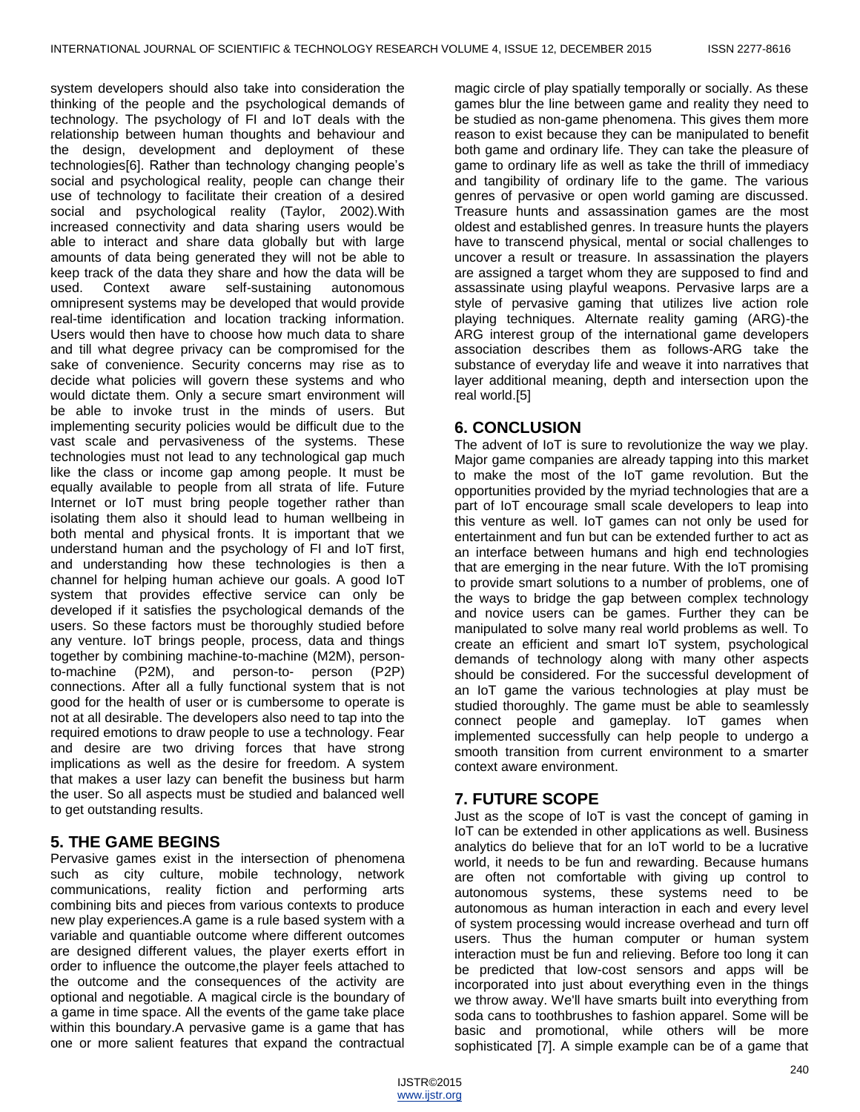system developers should also take into consideration the thinking of the people and the psychological demands of technology. The psychology of FI and IoT deals with the relationship between human thoughts and behaviour and the design, development and deployment of these technologies[6]. Rather than technology changing people's social and psychological reality, people can change their use of technology to facilitate their creation of a desired social and psychological reality (Taylor, 2002).With increased connectivity and data sharing users would be able to interact and share data globally but with large amounts of data being generated they will not be able to keep track of the data they share and how the data will be used. Context aware self-sustaining autonomous omnipresent systems may be developed that would provide real-time identification and location tracking information. Users would then have to choose how much data to share and till what degree privacy can be compromised for the sake of convenience. Security concerns may rise as to decide what policies will govern these systems and who would dictate them. Only a secure smart environment will be able to invoke trust in the minds of users. But implementing security policies would be difficult due to the vast scale and pervasiveness of the systems. These technologies must not lead to any technological gap much like the class or income gap among people. It must be equally available to people from all strata of life. Future Internet or IoT must bring people together rather than isolating them also it should lead to human wellbeing in both mental and physical fronts. It is important that we understand human and the psychology of FI and IoT first, and understanding how these technologies is then a channel for helping human achieve our goals. A good IoT system that provides effective service can only be developed if it satisfies the psychological demands of the users. So these factors must be thoroughly studied before any venture. IoT brings people, process, data and things together by combining machine-to-machine (M2M), personto-machine (P2M), and person-to- person (P2P) connections. After all a fully functional system that is not good for the health of user or is cumbersome to operate is not at all desirable. The developers also need to tap into the required emotions to draw people to use a technology. Fear and desire are two driving forces that have strong implications as well as the desire for freedom. A system that makes a user lazy can benefit the business but harm the user. So all aspects must be studied and balanced well to get outstanding results.

# **5. THE GAME BEGINS**

Pervasive games exist in the intersection of phenomena such as city culture, mobile technology, network communications, reality fiction and performing arts combining bits and pieces from various contexts to produce new play experiences.A game is a rule based system with a variable and quantiable outcome where different outcomes are designed different values, the player exerts effort in order to influence the outcome,the player feels attached to the outcome and the consequences of the activity are optional and negotiable. A magical circle is the boundary of a game in time space. All the events of the game take place within this boundary.A pervasive game is a game that has one or more salient features that expand the contractual

magic circle of play spatially temporally or socially. As these games blur the line between game and reality they need to be studied as non-game phenomena. This gives them more reason to exist because they can be manipulated to benefit both game and ordinary life. They can take the pleasure of game to ordinary life as well as take the thrill of immediacy and tangibility of ordinary life to the game. The various genres of pervasive or open world gaming are discussed. Treasure hunts and assassination games are the most oldest and established genres. In treasure hunts the players have to transcend physical, mental or social challenges to uncover a result or treasure. In assassination the players are assigned a target whom they are supposed to find and assassinate using playful weapons. Pervasive larps are a style of pervasive gaming that utilizes live action role playing techniques. Alternate reality gaming (ARG)-the ARG interest group of the international game developers association describes them as follows-ARG take the substance of everyday life and weave it into narratives that layer additional meaning, depth and intersection upon the real world.[5]

# **6. CONCLUSION**

The advent of IoT is sure to revolutionize the way we play. Major game companies are already tapping into this market to make the most of the IoT game revolution. But the opportunities provided by the myriad technologies that are a part of IoT encourage small scale developers to leap into this venture as well. IoT games can not only be used for entertainment and fun but can be extended further to act as an interface between humans and high end technologies that are emerging in the near future. With the IoT promising to provide smart solutions to a number of problems, one of the ways to bridge the gap between complex technology and novice users can be games. Further they can be manipulated to solve many real world problems as well. To create an efficient and smart IoT system, psychological demands of technology along with many other aspects should be considered. For the successful development of an IoT game the various technologies at play must be studied thoroughly. The game must be able to seamlessly connect people and gameplay. IoT games when implemented successfully can help people to undergo a smooth transition from current environment to a smarter context aware environment.

# **7. FUTURE SCOPE**

Just as the scope of IoT is vast the concept of gaming in IoT can be extended in other applications as well. Business analytics do believe that for an IoT world to be a lucrative world, it needs to be fun and rewarding. Because humans are often not comfortable with giving up control to autonomous systems, these systems need to be autonomous as human interaction in each and every level of system processing would increase overhead and turn off users. Thus the human computer or human system interaction must be fun and relieving. Before too long it can be predicted that low-cost sensors and apps will be incorporated into just about everything even in the things we throw away. We'll have smarts built into everything from soda cans to toothbrushes to fashion apparel. Some will be basic and promotional, while others will be more sophisticated [7]. A simple example can be of a game that